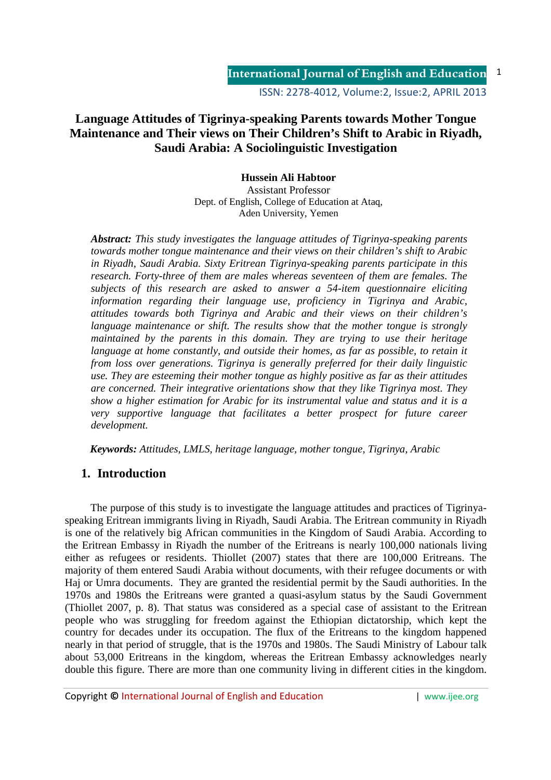ISSN: 2278-4012, Volume:2, Issue:2, APRIL 2013

# **Language Attitudes of Tigrinya-speaking Parents towards Mother Tongue Maintenance and Their views on Their Children's Shift to Arabic in Riyadh, Saudi Arabia: A Sociolinguistic Investigation**

**Hussein Ali Habtoor**  Assistant Professor Dept. of English, College of Education at Ataq, Aden University, Yemen

*Abstract: This study investigates the language attitudes of Tigrinya-speaking parents towards mother tongue maintenance and their views on their children's shift to Arabic in Riyadh, Saudi Arabia. Sixty Eritrean Tigrinya-speaking parents participate in this research. Forty-three of them are males whereas seventeen of them are females. The subjects of this research are asked to answer a 54-item questionnaire eliciting information regarding their language use, proficiency in Tigrinya and Arabic, attitudes towards both Tigrinya and Arabic and their views on their children's language maintenance or shift. The results show that the mother tongue is strongly maintained by the parents in this domain. They are trying to use their heritage language at home constantly, and outside their homes, as far as possible, to retain it from loss over generations. Tigrinya is generally preferred for their daily linguistic use. They are esteeming their mother tongue as highly positive as far as their attitudes are concerned. Their integrative orientations show that they like Tigrinya most. They show a higher estimation for Arabic for its instrumental value and status and it is a very supportive language that facilitates a better prospect for future career development.* 

 *Keywords: Attitudes, LMLS, heritage language, mother tongue, Tigrinya, Arabic* 

# **1. Introduction**

The purpose of this study is to investigate the language attitudes and practices of Tigrinyaspeaking Eritrean immigrants living in Riyadh, Saudi Arabia. The Eritrean community in Riyadh is one of the relatively big African communities in the Kingdom of Saudi Arabia. According to the Eritrean Embassy in Riyadh the number of the Eritreans is nearly 100,000 nationals living either as refugees or residents. Thiollet (2007) states that there are 100,000 Eritreans. The majority of them entered Saudi Arabia without documents, with their refugee documents or with Haj or Umra documents. They are granted the residential permit by the Saudi authorities. In the 1970s and 1980s the Eritreans were granted a quasi-asylum status by the Saudi Government (Thiollet 2007, p. 8). That status was considered as a special case of assistant to the Eritrean people who was struggling for freedom against the Ethiopian dictatorship, which kept the country for decades under its occupation. The flux of the Eritreans to the kingdom happened nearly in that period of struggle, that is the 1970s and 1980s. The Saudi Ministry of Labour talk about 53,000 Eritreans in the kingdom, whereas the Eritrean Embassy acknowledges nearly double this figure. There are more than one community living in different cities in the kingdom.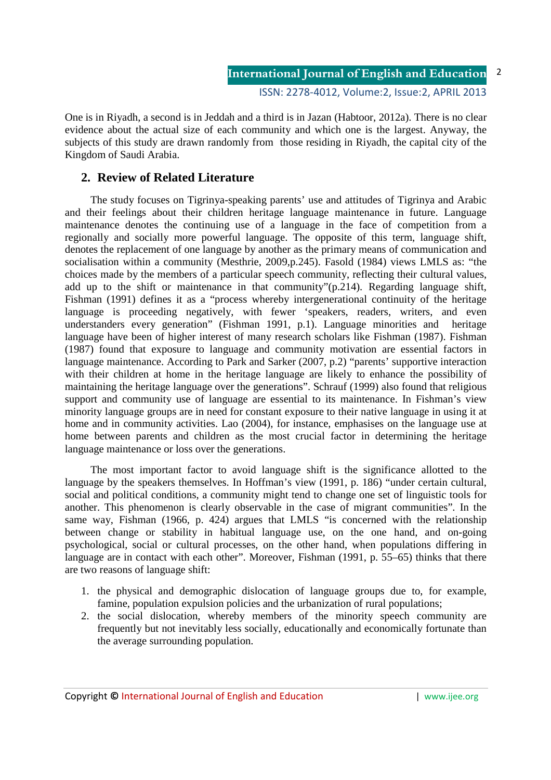ISSN: 2278-4012, Volume:2, Issue:2, APRIL 2013

2

One is in Riyadh, a second is in Jeddah and a third is in Jazan (Habtoor, 2012a). There is no clear evidence about the actual size of each community and which one is the largest. Anyway, the subjects of this study are drawn randomly from those residing in Riyadh, the capital city of the Kingdom of Saudi Arabia.

## **2. Review of Related Literature**

The study focuses on Tigrinya-speaking parents' use and attitudes of Tigrinya and Arabic and their feelings about their children heritage language maintenance in future. Language maintenance denotes the continuing use of a language in the face of competition from a regionally and socially more powerful language. The opposite of this term, language shift, denotes the replacement of one language by another as the primary means of communication and socialisation within a community (Mesthrie, 2009,p.245). Fasold (1984) views LMLS as: "the choices made by the members of a particular speech community, reflecting their cultural values, add up to the shift or maintenance in that community"(p.214). Regarding language shift, Fishman (1991) defines it as a "process whereby intergenerational continuity of the heritage language is proceeding negatively, with fewer 'speakers, readers, writers, and even understanders every generation" (Fishman 1991, p.1). Language minorities and heritage language have been of higher interest of many research scholars like Fishman (1987). Fishman (1987) found that exposure to language and community motivation are essential factors in language maintenance. According to Park and Sarker (2007, p.2) "parents' supportive interaction with their children at home in the heritage language are likely to enhance the possibility of maintaining the heritage language over the generations". Schrauf (1999) also found that religious support and community use of language are essential to its maintenance. In Fishman's view minority language groups are in need for constant exposure to their native language in using it at home and in community activities. Lao (2004), for instance, emphasises on the language use at home between parents and children as the most crucial factor in determining the heritage language maintenance or loss over the generations.

The most important factor to avoid language shift is the significance allotted to the language by the speakers themselves. In Hoffman's view (1991, p. 186) "under certain cultural, social and political conditions, a community might tend to change one set of linguistic tools for another. This phenomenon is clearly observable in the case of migrant communities". In the same way, Fishman (1966, p. 424) argues that LMLS "is concerned with the relationship between change or stability in habitual language use, on the one hand, and on-going psychological, social or cultural processes, on the other hand, when populations differing in language are in contact with each other". Moreover, Fishman (1991, p. 55–65) thinks that there are two reasons of language shift:

- 1. the physical and demographic dislocation of language groups due to, for example, famine, population expulsion policies and the urbanization of rural populations;
- 2. the social dislocation, whereby members of the minority speech community are frequently but not inevitably less socially, educationally and economically fortunate than the average surrounding population.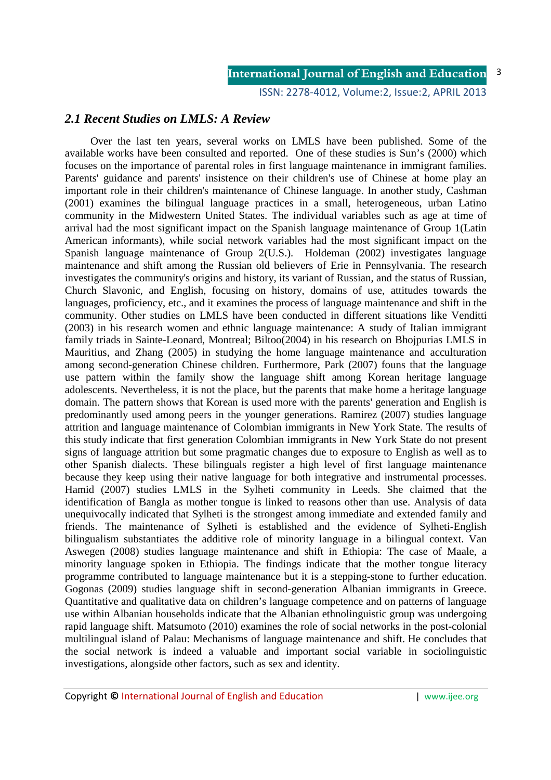ISSN: 2278-4012, Volume:2, Issue:2, APRIL 2013

## *2.1 Recent Studies on LMLS: A Review*

Over the last ten years, several works on LMLS have been published. Some of the available works have been consulted and reported. One of these studies is Sun's (2000) which focuses on the importance of parental roles in first language maintenance in immigrant families. Parents' guidance and parents' insistence on their children's use of Chinese at home play an important role in their children's maintenance of Chinese language. In another study, Cashman (2001) examines the bilingual language practices in a small, heterogeneous, urban Latino community in the Midwestern United States. The individual variables such as age at time of arrival had the most significant impact on the Spanish language maintenance of Group 1(Latin American informants), while social network variables had the most significant impact on the Spanish language maintenance of Group 2(U.S.). Holdeman (2002) investigates language maintenance and shift among the Russian old believers of Erie in Pennsylvania. The research investigates the community's origins and history, its variant of Russian, and the status of Russian, Church Slavonic, and English, focusing on history, domains of use, attitudes towards the languages, proficiency, etc., and it examines the process of language maintenance and shift in the community. Other studies on LMLS have been conducted in different situations like Venditti (2003) in his research women and ethnic language maintenance: A study of Italian immigrant family triads in Sainte-Leonard, Montreal; Biltoo(2004) in his research on Bhojpurias LMLS in Mauritius, and Zhang (2005) in studying the home language maintenance and acculturation among second-generation Chinese children. Furthermore, Park (2007) founs that the language use pattern within the family show the language shift among Korean heritage language adolescents. Nevertheless, it is not the place, but the parents that make home a heritage language domain. The pattern shows that Korean is used more with the parents' generation and English is predominantly used among peers in the younger generations. Ramirez (2007) studies language attrition and language maintenance of Colombian immigrants in New York State. The results of this study indicate that first generation Colombian immigrants in New York State do not present signs of language attrition but some pragmatic changes due to exposure to English as well as to other Spanish dialects. These bilinguals register a high level of first language maintenance because they keep using their native language for both integrative and instrumental processes. Hamid (2007) studies LMLS in the Sylheti community in Leeds. She claimed that the identification of Bangla as mother tongue is linked to reasons other than use. Analysis of data unequivocally indicated that Sylheti is the strongest among immediate and extended family and friends. The maintenance of Sylheti is established and the evidence of Sylheti-English bilingualism substantiates the additive role of minority language in a bilingual context. Van Aswegen (2008) studies language maintenance and shift in Ethiopia: The case of Maale, a minority language spoken in Ethiopia. The findings indicate that the mother tongue literacy programme contributed to language maintenance but it is a stepping-stone to further education. Gogonas (2009) studies language shift in second-generation Albanian immigrants in Greece. Quantitative and qualitative data on children's language competence and on patterns of language use within Albanian households indicate that the Albanian ethnolinguistic group was undergoing rapid language shift. Matsumoto (2010) examines the role of social networks in the post-colonial multilingual island of Palau: Mechanisms of language maintenance and shift. He concludes that the social network is indeed a valuable and important social variable in sociolinguistic investigations, alongside other factors, such as sex and identity.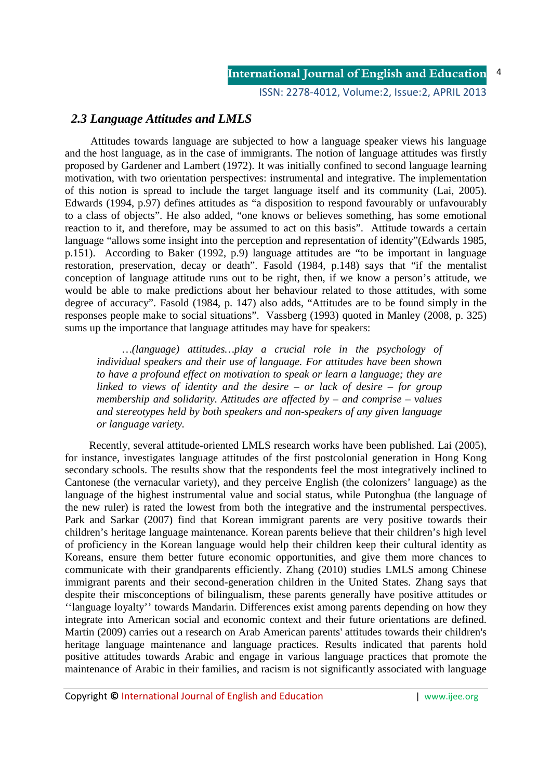ISSN: 2278-4012, Volume:2, Issue:2, APRIL 2013

## *2.3 Language Attitudes and LMLS*

Attitudes towards language are subjected to how a language speaker views his language and the host language, as in the case of immigrants. The notion of language attitudes was firstly proposed by Gardener and Lambert (1972). It was initially confined to second language learning motivation, with two orientation perspectives: instrumental and integrative. The implementation of this notion is spread to include the target language itself and its community (Lai, 2005). Edwards (1994, p.97) defines attitudes as "a disposition to respond favourably or unfavourably to a class of objects". He also added, "one knows or believes something, has some emotional reaction to it, and therefore, may be assumed to act on this basis". Attitude towards a certain language "allows some insight into the perception and representation of identity"(Edwards 1985, p.151). According to Baker (1992, p.9) language attitudes are "to be important in language restoration, preservation, decay or death". Fasold (1984, p.148) says that "if the mentalist conception of language attitude runs out to be right, then, if we know a person's attitude, we would be able to make predictions about her behaviour related to those attitudes, with some degree of accuracy". Fasold (1984, p. 147) also adds, "Attitudes are to be found simply in the responses people make to social situations". Vassberg (1993) quoted in Manley (2008, p. 325) sums up the importance that language attitudes may have for speakers:

*…(language) attitudes…play a crucial role in the psychology of individual speakers and their use of language. For attitudes have been shown to have a profound effect on motivation to speak or learn a language; they are linked to views of identity and the desire – or lack of desire – for group membership and solidarity. Attitudes are affected by – and comprise – values and stereotypes held by both speakers and non-speakers of any given language or language variety.* 

 Recently, several attitude-oriented LMLS research works have been published. Lai (2005), for instance, investigates language attitudes of the first postcolonial generation in Hong Kong secondary schools. The results show that the respondents feel the most integratively inclined to Cantonese (the vernacular variety), and they perceive English (the colonizers' language) as the language of the highest instrumental value and social status, while Putonghua (the language of the new ruler) is rated the lowest from both the integrative and the instrumental perspectives. Park and Sarkar (2007) find that Korean immigrant parents are very positive towards their children's heritage language maintenance. Korean parents believe that their children's high level of proficiency in the Korean language would help their children keep their cultural identity as Koreans, ensure them better future economic opportunities, and give them more chances to communicate with their grandparents efficiently. Zhang (2010) studies LMLS among Chinese immigrant parents and their second-generation children in the United States. Zhang says that despite their misconceptions of bilingualism, these parents generally have positive attitudes or ''language loyalty'' towards Mandarin. Differences exist among parents depending on how they integrate into American social and economic context and their future orientations are defined. Martin (2009) carries out a research on Arab American parents' attitudes towards their children's heritage language maintenance and language practices. Results indicated that parents hold positive attitudes towards Arabic and engage in various language practices that promote the maintenance of Arabic in their families, and racism is not significantly associated with language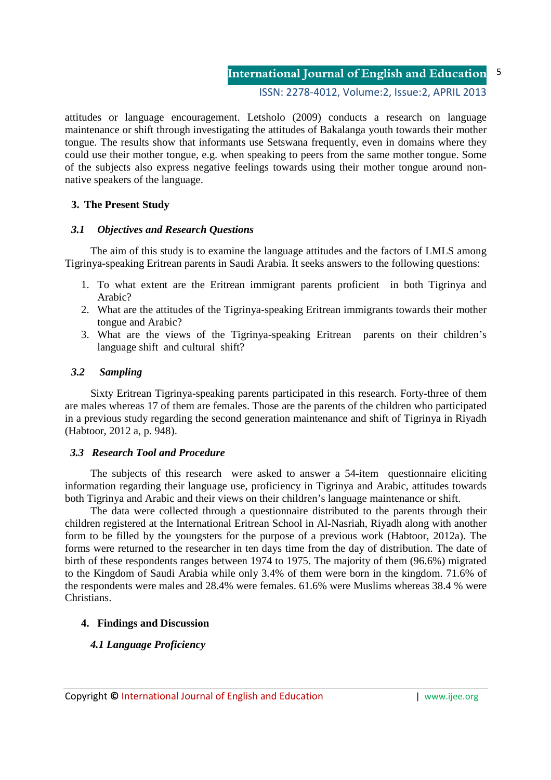ISSN: 2278-4012, Volume:2, Issue:2, APRIL 2013

attitudes or language encouragement. Letsholo (2009) conducts a research on language maintenance or shift through investigating the attitudes of Bakalanga youth towards their mother tongue. The results show that informants use Setswana frequently, even in domains where they could use their mother tongue, e.g. when speaking to peers from the same mother tongue. Some of the subjects also express negative feelings towards using their mother tongue around nonnative speakers of the language.

## **3. The Present Study**

## *3.1 Objectives and Research Questions*

The aim of this study is to examine the language attitudes and the factors of LMLS among Tigrinya-speaking Eritrean parents in Saudi Arabia. It seeks answers to the following questions:

- 1. To what extent are the Eritrean immigrant parents proficient in both Tigrinya and Arabic?
- 2. What are the attitudes of the Tigrinya-speaking Eritrean immigrants towards their mother tongue and Arabic?
- 3. What are the views of the Tigrinya-speaking Eritrean parents on their children's language shift and cultural shift?

## *3.2 Sampling*

Sixty Eritrean Tigrinya-speaking parents participated in this research. Forty-three of them are males whereas 17 of them are females. Those are the parents of the children who participated in a previous study regarding the second generation maintenance and shift of Tigrinya in Riyadh (Habtoor, 2012 a, p. 948).

## *3.3 Research Tool and Procedure*

The subjects of this research were asked to answer a 54-item questionnaire eliciting information regarding their language use, proficiency in Tigrinya and Arabic, attitudes towards both Tigrinya and Arabic and their views on their children's language maintenance or shift.

The data were collected through a questionnaire distributed to the parents through their children registered at the International Eritrean School in Al-Nasriah, Riyadh along with another form to be filled by the youngsters for the purpose of a previous work (Habtoor, 2012a). The forms were returned to the researcher in ten days time from the day of distribution. The date of birth of these respondents ranges between 1974 to 1975. The majority of them (96.6%) migrated to the Kingdom of Saudi Arabia while only 3.4% of them were born in the kingdom. 71.6% of the respondents were males and 28.4% were females. 61.6% were Muslims whereas 38.4 % were Christians.

## **4. Findings and Discussion**

## *4.1 Language Proficiency*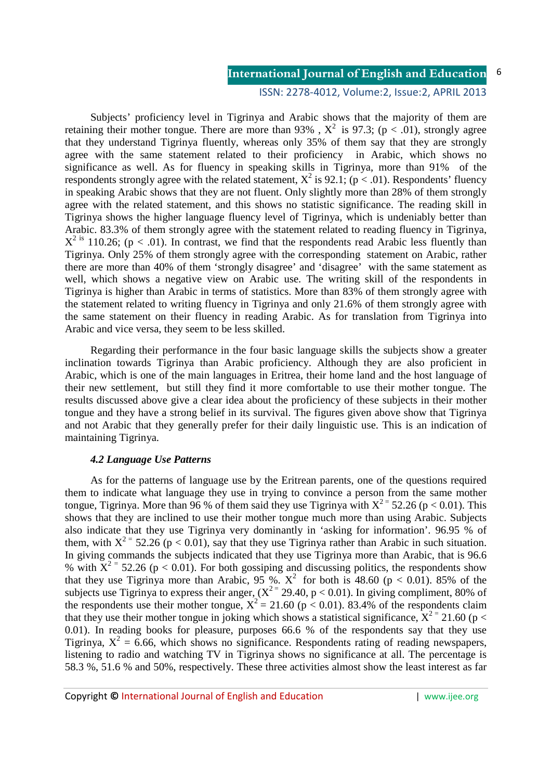### ISSN: 2278-4012, Volume:2, Issue:2, APRIL 2013

Subjects' proficiency level in Tigrinya and Arabic shows that the majority of them are retaining their mother tongue. There are more than 93%,  $X^2$  is 97.3; ( $p < .01$ ), strongly agree that they understand Tigrinya fluently, whereas only 35% of them say that they are strongly agree with the same statement related to their proficiency in Arabic, which shows no significance as well. As for fluency in speaking skills in Tigrinya, more than 91% of the respondents strongly agree with the related statement,  $X^2$  is 92.1; ( $p < .01$ ). Respondents' fluency in speaking Arabic shows that they are not fluent. Only slightly more than 28% of them strongly agree with the related statement, and this shows no statistic significance. The reading skill in Tigrinya shows the higher language fluency level of Tigrinya, which is undeniably better than Arabic. 83.3% of them strongly agree with the statement related to reading fluency in Tigrinya,  $X^2$  is 110.26; (p < .01). In contrast, we find that the respondents read Arabic less fluently than Tigrinya. Only 25% of them strongly agree with the corresponding statement on Arabic, rather there are more than 40% of them 'strongly disagree' and 'disagree' with the same statement as well, which shows a negative view on Arabic use. The writing skill of the respondents in Tigrinya is higher than Arabic in terms of statistics. More than 83% of them strongly agree with the statement related to writing fluency in Tigrinya and only 21.6% of them strongly agree with the same statement on their fluency in reading Arabic. As for translation from Tigrinya into Arabic and vice versa, they seem to be less skilled.

Regarding their performance in the four basic language skills the subjects show a greater inclination towards Tigrinya than Arabic proficiency. Although they are also proficient in Arabic, which is one of the main languages in Eritrea, their home land and the host language of their new settlement, but still they find it more comfortable to use their mother tongue. The results discussed above give a clear idea about the proficiency of these subjects in their mother tongue and they have a strong belief in its survival. The figures given above show that Tigrinya and not Arabic that they generally prefer for their daily linguistic use. This is an indication of maintaining Tigrinya.

### *4.2 Language Use Patterns*

As for the patterns of language use by the Eritrean parents, one of the questions required them to indicate what language they use in trying to convince a person from the same mother tongue, Tigrinya. More than 96 % of them said they use Tigrinya with  $X^{2} = 52.26$  (p < 0.01). This shows that they are inclined to use their mother tongue much more than using Arabic. Subjects also indicate that they use Tigrinya very dominantly in 'asking for information'. 96.95 % of them, with  $X^{2} = 52.26$  (p < 0.01), say that they use Tigrinya rather than Arabic in such situation. In giving commands the subjects indicated that they use Tigrinya more than Arabic, that is 96.6 % with  $X^2 = 52.26$  (p < 0.01). For both gossiping and discussing politics, the respondents show that they use Tigrinya more than Arabic,  $95\%$ .  $X^2$  for both is 48.60 (p < 0.01). 85% of the subjects use Tigrinya to express their anger,  $(X^{2} = 29.40, p < 0.01)$ . In giving compliment, 80% of the respondents use their mother tongue,  $X^2 = 21.60$  (p < 0.01). 83.4% of the respondents claim that they use their mother tongue in joking which shows a statistical significance,  $X^{2}$  = 21.60 (p < 0.01). In reading books for pleasure, purposes 66.6 % of the respondents say that they use Tigrinya,  $X^2 = 6.66$ , which shows no significance. Respondents rating of reading newspapers, listening to radio and watching TV in Tigrinya shows no significance at all. The percentage is 58.3 %, 51.6 % and 50%, respectively. These three activities almost show the least interest as far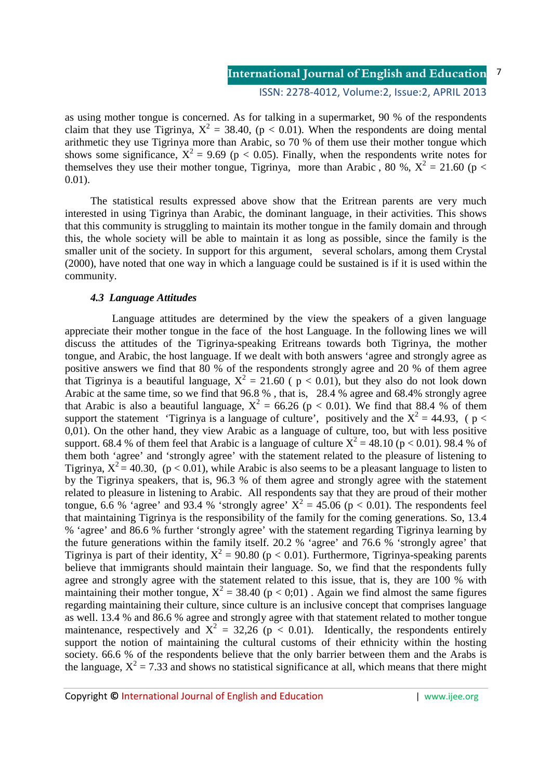### ISSN: 2278-4012, Volume:2, Issue:2, APRIL 2013

as using mother tongue is concerned. As for talking in a supermarket, 90 % of the respondents claim that they use Tigrinya,  $X^2 = 38.40$ , ( $p < 0.01$ ). When the respondents are doing mental arithmetic they use Tigrinya more than Arabic, so 70 % of them use their mother tongue which shows some significance,  $X^2 = 9.69$  (p < 0.05). Finally, when the respondents write notes for themselves they use their mother tongue, Tigrinya, more than Arabic, 80 %,  $X^2 = 21.60$  (p < 0.01).

The statistical results expressed above show that the Eritrean parents are very much interested in using Tigrinya than Arabic, the dominant language, in their activities. This shows that this community is struggling to maintain its mother tongue in the family domain and through this, the whole society will be able to maintain it as long as possible, since the family is the smaller unit of the society. In support for this argument, several scholars, among them Crystal (2000), have noted that one way in which a language could be sustained is if it is used within the community.

### *4.3 Language Attitudes*

 Language attitudes are determined by the view the speakers of a given language appreciate their mother tongue in the face of the host Language. In the following lines we will discuss the attitudes of the Tigrinya-speaking Eritreans towards both Tigrinya, the mother tongue, and Arabic, the host language. If we dealt with both answers 'agree and strongly agree as positive answers we find that 80 % of the respondents strongly agree and 20 % of them agree that Tigrinya is a beautiful language,  $X^2 = 21.60$  (  $p < 0.01$ ), but they also do not look down Arabic at the same time, so we find that 96.8 % , that is, 28.4 % agree and 68.4% strongly agree that Arabic is also a beautiful language,  $X^2 = 66.26$  (p < 0.01). We find that 88.4 % of them support the statement 'Tigrinya is a language of culture', positively and the  $X^2 = 44.93$ , (p < 0,01). On the other hand, they view Arabic as a language of culture, too, but with less positive support. 68.4 % of them feel that Arabic is a language of culture  $X^2 = 48.10$  (p < 0.01). 98.4 % of them both 'agree' and 'strongly agree' with the statement related to the pleasure of listening to Tigrinya,  $X^2 = 40.30$ , (p < 0.01), while Arabic is also seems to be a pleasant language to listen to by the Tigrinya speakers, that is, 96.3 % of them agree and strongly agree with the statement related to pleasure in listening to Arabic. All respondents say that they are proud of their mother tongue, 6.6 % 'agree' and 93.4 % 'strongly agree'  $X^2 = 45.06$  (p < 0.01). The respondents feel that maintaining Tigrinya is the responsibility of the family for the coming generations. So, 13.4 % 'agree' and 86.6 % further 'strongly agree' with the statement regarding Tigrinya learning by the future generations within the family itself. 20.2 % 'agree' and 76.6 % 'strongly agree' that Tigrinya is part of their identity,  $X^2 = 90.80$  (p < 0.01). Furthermore, Tigrinya-speaking parents believe that immigrants should maintain their language. So, we find that the respondents fully agree and strongly agree with the statement related to this issue, that is, they are 100 % with maintaining their mother tongue,  $X^2 = 38.40$  ( $p < 0;01$ ). Again we find almost the same figures regarding maintaining their culture, since culture is an inclusive concept that comprises language as well. 13.4 % and 86.6 % agree and strongly agree with that statement related to mother tongue maintenance, respectively and  $X^2 = 32,26$  ( $p < 0.01$ ). Identically, the respondents entirely support the notion of maintaining the cultural customs of their ethnicity within the hosting society. 66.6 % of the respondents believe that the only barrier between them and the Arabs is the language,  $X^2 = 7.33$  and shows no statistical significance at all, which means that there might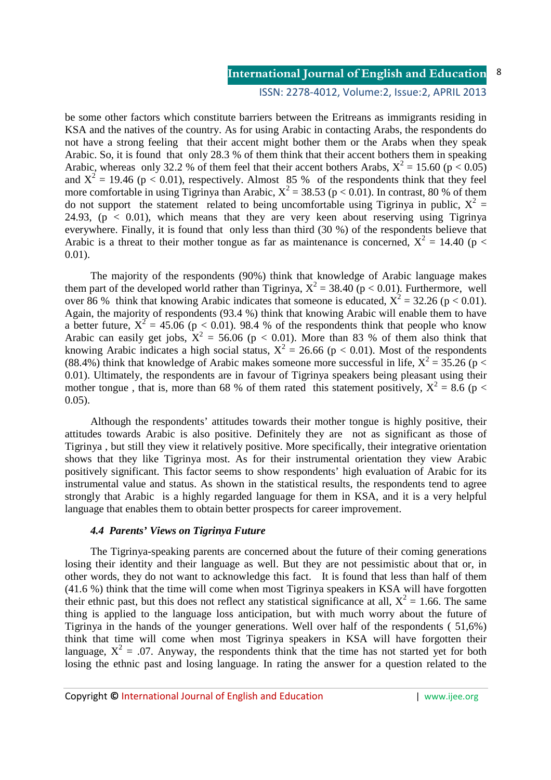### ISSN: 2278-4012, Volume:2, Issue:2, APRIL 2013

be some other factors which constitute barriers between the Eritreans as immigrants residing in KSA and the natives of the country. As for using Arabic in contacting Arabs, the respondents do not have a strong feeling that their accent might bother them or the Arabs when they speak Arabic. So, it is found that only 28.3 % of them think that their accent bothers them in speaking Arabic, whereas only 32.2 % of them feel that their accent bothers Arabs,  $X^2 = 15.60$  ( $p < 0.05$ ) and  $X^2 = 19.46$  (p < 0.01), respectively. Almost 85 % of the respondents think that they feel more comfortable in using Tigrinya than Arabic,  $X^2 = 38.53$  (p < 0.01). In contrast, 80 % of them do not support the statement related to being uncomfortable using Tigrinya in public,  $X^2 =$ 24.93,  $(p < 0.01)$ , which means that they are very keen about reserving using Tigrinya everywhere. Finally, it is found that only less than third (30 %) of the respondents believe that Arabic is a threat to their mother tongue as far as maintenance is concerned,  $X^2 = 14.40$  (p < 0.01).

The majority of the respondents (90%) think that knowledge of Arabic language makes them part of the developed world rather than Tigrinya,  $X^2 = 38.40$  (p < 0.01). Furthermore, well over 86 % think that knowing Arabic indicates that someone is educated,  $X^2 = 32.26$  (p < 0.01). Again, the majority of respondents (93.4 %) think that knowing Arabic will enable them to have a better future,  $X^2 = 45.06$  (p < 0.01). 98.4 % of the respondents think that people who know Arabic can easily get jobs,  $X^2 = 56.06$  (p < 0.01). More than 83 % of them also think that knowing Arabic indicates a high social status,  $X^2 = 26.66$  (p < 0.01). Most of the respondents (88.4%) think that knowledge of Arabic makes someone more successful in life,  $X^2 = 35.26$  (p < 0.01). Ultimately, the respondents are in favour of Tigrinya speakers being pleasant using their mother tongue, that is, more than 68 % of them rated this statement positively,  $X^2 = 8.6$  (p < 0.05).

Although the respondents' attitudes towards their mother tongue is highly positive, their attitudes towards Arabic is also positive. Definitely they are not as significant as those of Tigrinya , but still they view it relatively positive. More specifically, their integrative orientation shows that they like Tigrinya most. As for their instrumental orientation they view Arabic positively significant. This factor seems to show respondents' high evaluation of Arabic for its instrumental value and status. As shown in the statistical results, the respondents tend to agree strongly that Arabic is a highly regarded language for them in KSA, and it is a very helpful language that enables them to obtain better prospects for career improvement.

### *4.4 Parents' Views on Tigrinya Future*

The Tigrinya-speaking parents are concerned about the future of their coming generations losing their identity and their language as well. But they are not pessimistic about that or, in other words, they do not want to acknowledge this fact. It is found that less than half of them (41.6 %) think that the time will come when most Tigrinya speakers in KSA will have forgotten their ethnic past, but this does not reflect any statistical significance at all,  $X^2 = 1.66$ . The same thing is applied to the language loss anticipation, but with much worry about the future of Tigrinya in the hands of the younger generations. Well over half of the respondents ( 51,6%) think that time will come when most Tigrinya speakers in KSA will have forgotten their language,  $X^2 = 0.07$ . Anyway, the respondents think that the time has not started yet for both losing the ethnic past and losing language. In rating the answer for a question related to the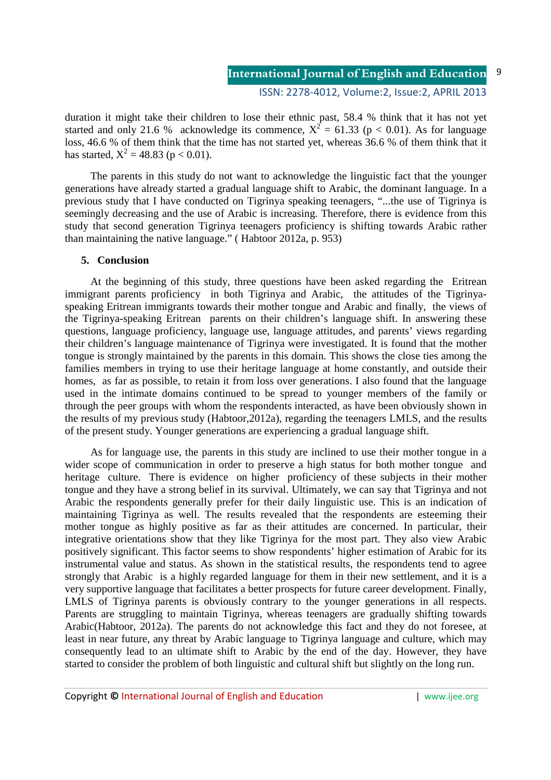### ISSN: 2278-4012, Volume:2, Issue:2, APRIL 2013

duration it might take their children to lose their ethnic past, 58.4 % think that it has not yet started and only 21.6 % acknowledge its commence,  $X^2 = 61.33$  (p < 0.01). As for language loss, 46.6 % of them think that the time has not started yet, whereas 36.6 % of them think that it has started,  $X^2 = 48.83$  (p < 0.01).

The parents in this study do not want to acknowledge the linguistic fact that the younger generations have already started a gradual language shift to Arabic, the dominant language. In a previous study that I have conducted on Tigrinya speaking teenagers, "...the use of Tigrinya is seemingly decreasing and the use of Arabic is increasing. Therefore, there is evidence from this study that second generation Tigrinya teenagers proficiency is shifting towards Arabic rather than maintaining the native language." ( Habtoor 2012a, p. 953)

### **5. Conclusion**

At the beginning of this study, three questions have been asked regarding the Eritrean immigrant parents proficiency in both Tigrinya and Arabic, the attitudes of the Tigrinyaspeaking Eritrean immigrants towards their mother tongue and Arabic and finally, the views of the Tigrinya-speaking Eritrean parents on their children's language shift. In answering these questions, language proficiency, language use, language attitudes, and parents' views regarding their children's language maintenance of Tigrinya were investigated. It is found that the mother tongue is strongly maintained by the parents in this domain. This shows the close ties among the families members in trying to use their heritage language at home constantly, and outside their homes, as far as possible, to retain it from loss over generations. I also found that the language used in the intimate domains continued to be spread to younger members of the family or through the peer groups with whom the respondents interacted, as have been obviously shown in the results of my previous study (Habtoor,2012a), regarding the teenagers LMLS, and the results of the present study. Younger generations are experiencing a gradual language shift.

As for language use, the parents in this study are inclined to use their mother tongue in a wider scope of communication in order to preserve a high status for both mother tongue and heritage culture. There is evidence on higher proficiency of these subjects in their mother tongue and they have a strong belief in its survival. Ultimately, we can say that Tigrinya and not Arabic the respondents generally prefer for their daily linguistic use. This is an indication of maintaining Tigrinya as well. The results revealed that the respondents are esteeming their mother tongue as highly positive as far as their attitudes are concerned. In particular, their integrative orientations show that they like Tigrinya for the most part. They also view Arabic positively significant. This factor seems to show respondents' higher estimation of Arabic for its instrumental value and status. As shown in the statistical results, the respondents tend to agree strongly that Arabic is a highly regarded language for them in their new settlement, and it is a very supportive language that facilitates a better prospects for future career development. Finally, LMLS of Tigrinya parents is obviously contrary to the younger generations in all respects. Parents are struggling to maintain Tigrinya, whereas teenagers are gradually shifting towards Arabic(Habtoor, 2012a). The parents do not acknowledge this fact and they do not foresee, at least in near future, any threat by Arabic language to Tigrinya language and culture, which may consequently lead to an ultimate shift to Arabic by the end of the day. However, they have started to consider the problem of both linguistic and cultural shift but slightly on the long run.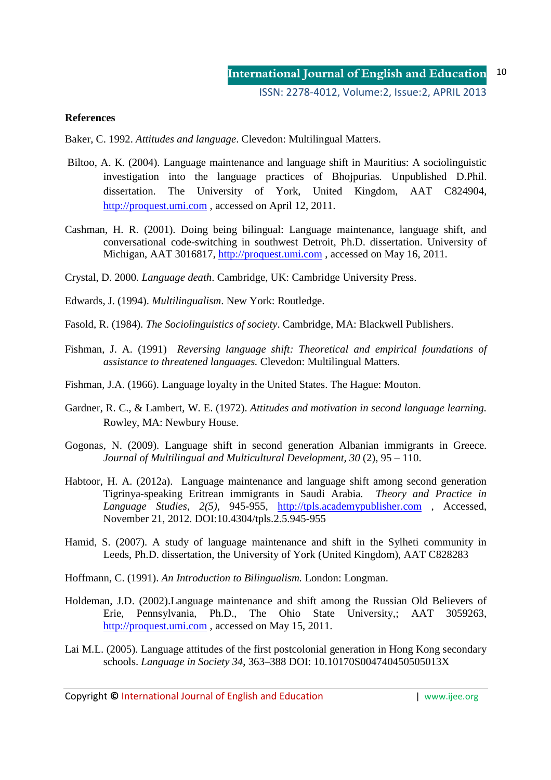## **References**

Baker, C. 1992. *Attitudes and language*. Clevedon: Multilingual Matters.

- Biltoo, A. K. (2004). Language maintenance and language shift in Mauritius: A sociolinguistic investigation into the language practices of Bhojpurias*.* Unpublished D.Phil. dissertation. The University of York, United Kingdom, AAT C824904, http://proquest.umi.com , accessed on April 12, 2011.
- Cashman, H. R. (2001). Doing being bilingual: Language maintenance, language shift, and conversational code-switching in southwest Detroit, Ph.D. dissertation. University of Michigan, AAT 3016817, http://proquest.umi.com, accessed on May 16, 2011.
- Crystal, D. 2000. *Language death*. Cambridge, UK: Cambridge University Press.
- Edwards, J. (1994). *Multilingualism*. New York: Routledge.
- Fasold, R. (1984). *The Sociolinguistics of society*. Cambridge, MA: Blackwell Publishers.
- Fishman, J. A. (1991) *Reversing language shift: Theoretical and empirical foundations of assistance to threatened languages.* Clevedon: Multilingual Matters.
- Fishman, J.A. (1966). Language loyalty in the United States. The Hague: Mouton.
- Gardner, R. C., & Lambert, W. E. (1972). *Attitudes and motivation in second language learning.*  Rowley, MA: Newbury House.
- Gogonas, N. (2009). Language shift in second generation Albanian immigrants in Greece. *Journal of Multilingual and Multicultural Development, 30* (2), 95 – 110.
- Habtoor, H. A. (2012a). Language maintenance and language shift among second generation Tigrinya-speaking Eritrean immigrants in Saudi Arabia. *Theory and Practice in Language Studies, 2(5)*, 945-955, http://tpls.academypublisher.com , Accessed, November 21, 2012. DOI:10.4304/tpls.2.5.945-955
- Hamid, S. (2007). A study of language maintenance and shift in the Sylheti community in Leeds, Ph.D. dissertation, the University of York (United Kingdom), AAT C828283
- Hoffmann, C. (1991). *An Introduction to Bilingualism.* London: Longman.
- Holdeman, J.D. (2002).Language maintenance and shift among the Russian Old Believers of Erie, Pennsylvania, Ph.D., The Ohio State University,; AAT 3059263, http://proquest.umi.com , accessed on May 15, 2011.
- Lai M.L. (2005). Language attitudes of the first postcolonial generation in Hong Kong secondary schools. *Language in Society 34*, 363–388 DOI: 10.10170S004740450505013X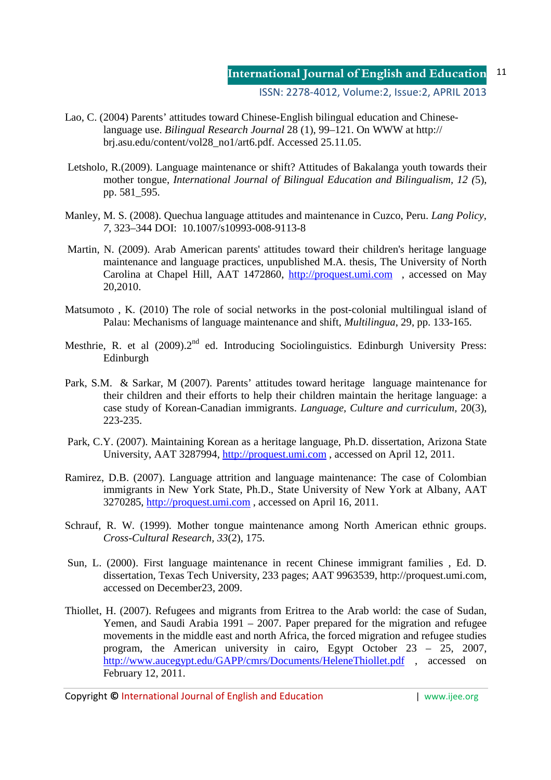- Lao, C. (2004) Parents' attitudes toward Chinese-English bilingual education and Chineselanguage use. *Bilingual Research Journal* 28 (1), 99–121. On WWW at http:// brj.asu.edu/content/vol28\_no1/art6.pdf. Accessed 25.11.05.
- Letsholo, R.(2009). Language maintenance or shift? Attitudes of Bakalanga youth towards their mother tongue, *International Journal of Bilingual Education and Bilingualism, 12 (*5), pp. 581\_595.
- Manley, M. S. (2008). Quechua language attitudes and maintenance in Cuzco, Peru. *Lang Policy, 7*, 323–344 DOI: 10.1007/s10993-008-9113-8
- Martin, N. (2009). Arab American parents' attitudes toward their children's heritage language maintenance and language practices, unpublished M.A. thesis, The University of North Carolina at Chapel Hill, AAT 1472860, http://proquest.umi.com , accessed on May 20,2010.
- Matsumoto , K. (2010) The role of social networks in the post-colonial multilingual island of Palau: Mechanisms of language maintenance and shift, *Multilingua*, 29, pp. 133-165.
- Mesthrie, R. et al (2009).2<sup>nd</sup> ed. Introducing Sociolinguistics. Edinburgh University Press: Edinburgh
- Park, S.M. & Sarkar, M (2007). Parents' attitudes toward heritage language maintenance for their children and their efforts to help their children maintain the heritage language: a case study of Korean-Canadian immigrants. *Language, Culture and curriculum,* 20(3), 223-235.
- Park, C.Y. (2007). Maintaining Korean as a heritage language, Ph.D. dissertation, Arizona State University, AAT 3287994, http://proquest.umi.com , accessed on April 12, 2011.
- Ramirez, D.B. (2007). Language attrition and language maintenance: The case of Colombian immigrants in New York State, Ph.D., State University of New York at Albany, AAT 3270285, http://proquest.umi.com , accessed on April 16, 2011.
- Schrauf, R. W. (1999). Mother tongue maintenance among North American ethnic groups. *Cross-Cultural Research, 33*(2), 175.
- Sun*,* L. (2000). First language maintenance in recent Chinese immigrant families , Ed. D. dissertation, Texas Tech University, 233 pages; AAT 9963539, http://proquest.umi.com, accessed on December23, 2009.
- Thiollet, H. (2007). Refugees and migrants from Eritrea to the Arab world: the case of Sudan, Yemen, and Saudi Arabia 1991 – 2007. Paper prepared for the migration and refugee movements in the middle east and north Africa, the forced migration and refugee studies program, the American university in cairo, Egypt October 23 – 25, 2007, http://www.aucegypt.edu/GAPP/cmrs/Documents/HeleneThiollet.pdf , accessed on February 12, 2011.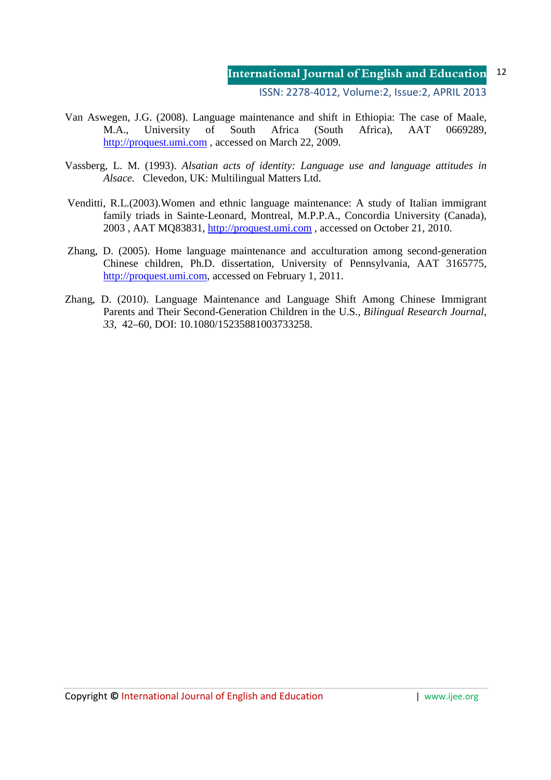ISSN: 2278-4012, Volume:2, Issue:2, APRIL 2013

- Van Aswegen, J.G. (2008). Language maintenance and shift in Ethiopia: The case of Maale, M.A., University of South Africa (South Africa), AAT 0669289, http://proquest.umi.com , accessed on March 22, 2009.
- Vassberg, L. M. (1993). *Alsatian acts of identity: Language use and language attitudes in Alsace.* Clevedon, UK: Multilingual Matters Ltd.
- Venditti, R.L.(2003).Women and ethnic language maintenance: A study of Italian immigrant family triads in Sainte-Leonard, Montreal, M.P.P.A., Concordia University (Canada), 2003 , AAT MQ83831, http://proquest.umi.com , accessed on October 21, 2010.
- Zhang, D. (2005). Home language maintenance and acculturation among second-generation Chinese children, Ph.D. dissertation, University of Pennsylvania, AAT 3165775, http://proquest.umi.com, accessed on February 1, 2011.
- Zhang, D. (2010). Language Maintenance and Language Shift Among Chinese Immigrant Parents and Their Second-Generation Children in the U.S., *Bilingual Research Journal*, *33*, 42–60, DOI: 10.1080/15235881003733258.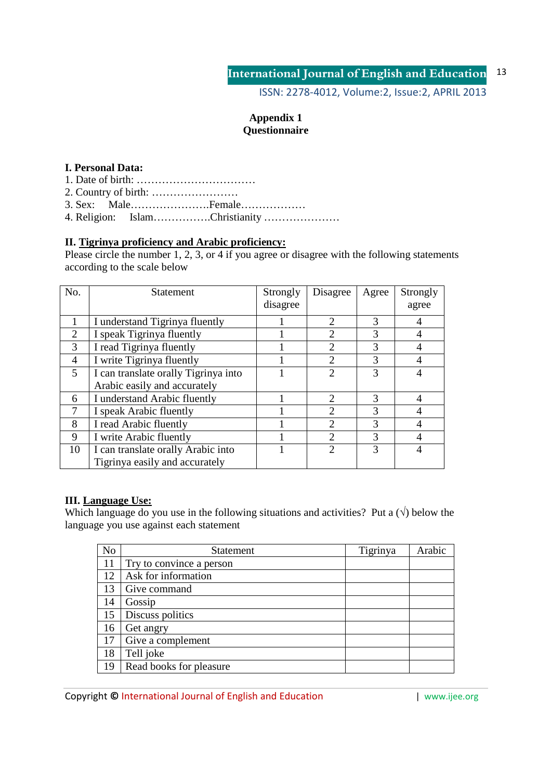ISSN: 2278-4012, Volume:2, Issue:2, APRIL 2013

## **Appendix 1 Questionnaire**

## **I. Personal Data:**

1. Date of birth: ……………………………

2. Country of birth: ……………………

3. Sex: Male………………….Female………………

4. Religion: Islam…………….Christianity …………………

## **II. Tigrinya proficiency and Arabic proficiency:**

Please circle the number 1, 2, 3, or 4 if you agree or disagree with the following statements according to the scale below

| No.            | <b>Statement</b>                     | Strongly<br>disagree | Disagree                    | Agree | Strongly<br>agree |
|----------------|--------------------------------------|----------------------|-----------------------------|-------|-------------------|
|                |                                      |                      |                             |       |                   |
|                | I understand Tigrinya fluently       |                      | $\mathcal{D}_{\cdot}$       | 3     | 4                 |
| $\overline{2}$ | I speak Tigrinya fluently            |                      |                             | 3     | 4                 |
| 3              | I read Tigrinya fluently             |                      | $\mathcal{D}_{\mathcal{L}}$ | 3     |                   |
| 4              | I write Tigrinya fluently            |                      | $\mathcal{D}_{\mathcal{L}}$ | 3     | $\overline{4}$    |
| 5              | I can translate orally Tigrinya into |                      |                             | 3     | 4                 |
|                | Arabic easily and accurately         |                      |                             |       |                   |
| 6              | I understand Arabic fluently         |                      | $\mathcal{D}_{\mathcal{L}}$ | 3     | 4                 |
|                | I speak Arabic fluently              |                      | $\mathcal{D}_{\mathcal{L}}$ | 3     | 4                 |
| 8              | I read Arabic fluently               |                      | $\mathcal{D}_{\mathcal{L}}$ | 3     | 4                 |
| 9              | I write Arabic fluently              |                      |                             | 3     | 4                 |
| 10             | I can translate orally Arabic into   |                      | $\mathcal{D}$               | 3     | 4                 |
|                | Tigrinya easily and accurately       |                      |                             |       |                   |

## **III. Language Use:**

Which language do you use in the following situations and activities? Put a  $(\sqrt)$  below the language you use against each statement

| No | Statement                | Tigrinya | Arabic |
|----|--------------------------|----------|--------|
| 11 | Try to convince a person |          |        |
| 12 | Ask for information      |          |        |
| 13 | Give command             |          |        |
| 14 | Gossip                   |          |        |
| 15 | Discuss politics         |          |        |
| 16 | Get angry                |          |        |
| 17 | Give a complement        |          |        |
| 18 | Tell joke                |          |        |
| 19 | Read books for pleasure  |          |        |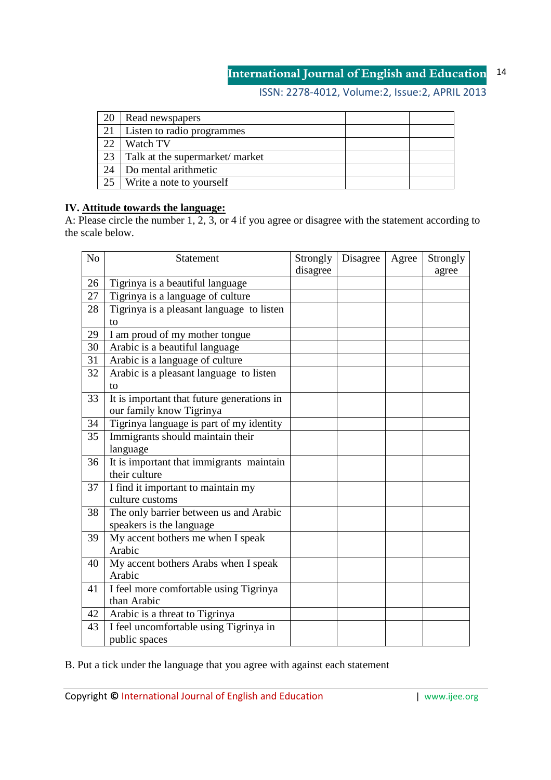# ISSN: 2278-4012, Volume:2, Issue:2, APRIL 2013

| 20 | Read newspapers                |  |
|----|--------------------------------|--|
| 21 | Listen to radio programmes     |  |
| 22 | Watch TV                       |  |
| 23 | Talk at the supermarket/market |  |
| 24 | Do mental arithmetic           |  |
| 25 | Write a note to yourself       |  |

## **IV. Attitude towards the language:**

A: Please circle the number 1, 2, 3, or 4 if you agree or disagree with the statement according to the scale below.

| N <sub>o</sub> | Statement                                  | Strongly<br>disagree | Disagree | Agree | Strongly<br>agree |
|----------------|--------------------------------------------|----------------------|----------|-------|-------------------|
| 26             | Tigrinya is a beautiful language           |                      |          |       |                   |
| 27             | Tigrinya is a language of culture          |                      |          |       |                   |
| 28             | Tigrinya is a pleasant language to listen  |                      |          |       |                   |
|                | to                                         |                      |          |       |                   |
| 29             | I am proud of my mother tongue             |                      |          |       |                   |
| 30             | Arabic is a beautiful language             |                      |          |       |                   |
| 31             | Arabic is a language of culture            |                      |          |       |                   |
| 32             | Arabic is a pleasant language to listen    |                      |          |       |                   |
|                | to                                         |                      |          |       |                   |
| 33             | It is important that future generations in |                      |          |       |                   |
|                | our family know Tigrinya                   |                      |          |       |                   |
| 34             | Tigrinya language is part of my identity   |                      |          |       |                   |
| 35             | Immigrants should maintain their           |                      |          |       |                   |
|                | language                                   |                      |          |       |                   |
| 36             | It is important that immigrants maintain   |                      |          |       |                   |
|                | their culture                              |                      |          |       |                   |
| 37             | I find it important to maintain my         |                      |          |       |                   |
|                | culture customs                            |                      |          |       |                   |
| 38             | The only barrier between us and Arabic     |                      |          |       |                   |
|                | speakers is the language                   |                      |          |       |                   |
| 39             | My accent bothers me when I speak          |                      |          |       |                   |
|                | Arabic                                     |                      |          |       |                   |
| 40             | My accent bothers Arabs when I speak       |                      |          |       |                   |
|                | Arabic                                     |                      |          |       |                   |
| 41             | I feel more comfortable using Tigrinya     |                      |          |       |                   |
|                | than Arabic                                |                      |          |       |                   |
| 42             | Arabic is a threat to Tigrinya             |                      |          |       |                   |
| 43             | I feel uncomfortable using Tigrinya in     |                      |          |       |                   |
|                | public spaces                              |                      |          |       |                   |

B. Put a tick under the language that you agree with against each statement